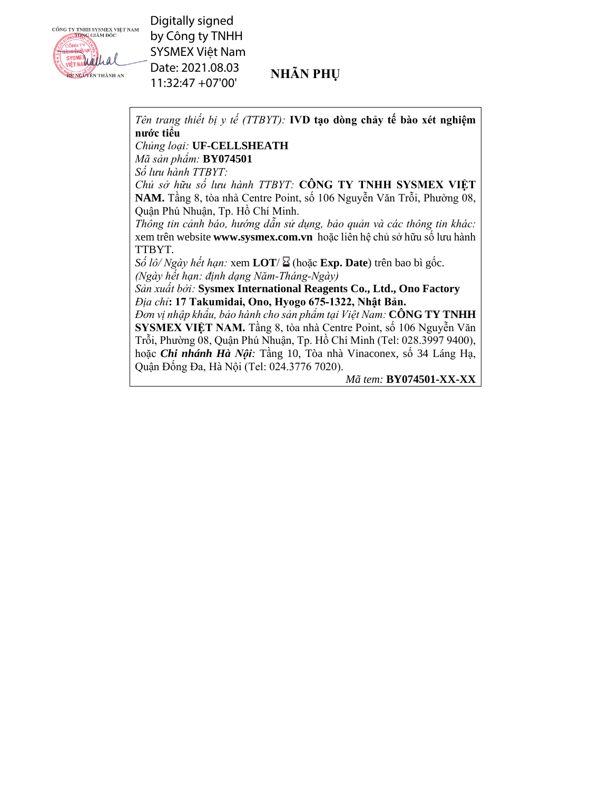

Digitally signed by Công ty TNHH SYSMEX Việt Nam Date: 2021.08.03 11:32:47 +07'00'

## **NHÃN PHỤ**

*Tên trang thiết bị y tế (TTBYT):* **IVD tạo dòng chảy tế bào xét nghiệm nước tiểu**

### *Chủng loại:* **UF-CELLSHEATH**

*Mã sản phẩm:* **BY074501** 

*Số lưu hành TTBYT:*

*Chủ sở hữu số lưu hành TTBYT:* **CÔNG TY TNHH SYSMEX VIỆT NAM.** Tầng 8, tòa nhà Centre Point, số 106 Nguyễn Văn Trỗi, Phường 08, Quận Phú Nhuận, Tp. Hồ Chí Minh.

*Thông tin cảnh báo, hướng dẫn sử dụng, bảo quản và các thông tin khác:* xem trên website **www.sysmex.com.vn** hoặc liên hệ chủ sở hữu số lưu hành TTBYT.

 $S\acute{o}$  *lô/ Ngày hết hạn:* xem **LOT**/ $\Sigma$  (hoặc **Exp. Date**) trên bao bì gốc. *(Ngày hết hạn: định dạng Năm-Tháng-Ngày)*

*Sản xuất bởi:* **Sysmex International Reagents Co., Ltd., Ono Factory**  *Địa chỉ***: 17 Takumidai, Ono, Hyogo 675-1322, Nhật Bản.**

*Đơn vị nhập khẩu, bảo hành cho sản phẩm tại Việt Nam:* **CÔNG TY TNHH SYSMEX VIỆT NAM.** Tầng 8, tòa nhà Centre Point, số 106 Nguyễn Văn Trỗi, Phường 08, Quận Phú Nhuận, Tp. Hồ Chí Minh (Tel: 028.3997 9400), hoặc *Chi nhánh Hà Nội:* Tầng 10, Tòa nhà Vinaconex, số 34 Láng Hạ, Quận Đống Đa, Hà Nội (Tel: 024.3776 7020).

*Mã tem:* **BY074501-XX-XX**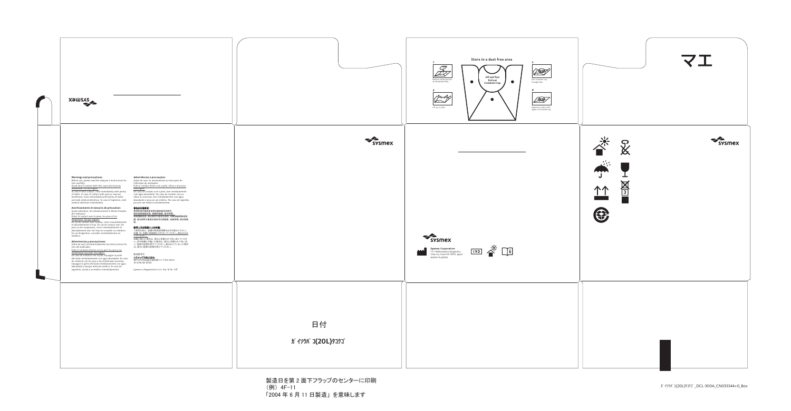(例) 4F-11 「2004 年 6 月 11 日製造」 を意味します



Sysmex is Registered in U.S. Pat. & Tm. Off.



### **Warnings and precautions:**

Before use, please read the analyzer's Instructions for Use carefully. Avoid direct contact with skin, eyes and mucous

membrane. Do not ingest. In case of skin contact, rinse immediately with plenty of water. In case of contact with eyes or mucous

membrane, rinse immediately with plenty of water, and seek medical attention. In case of ingestion, seek medical attention immediately.

**Avertissements et mesures de précaution:** Avant utilisation, lire attentivement le Mode d'emploi de l'analyseur.

Éviter le contact avec la peau, les yeux et les muqueuses. Ne pas ingérer.

En cas de contact avec la peau, rincer immédiatement et abondamment à l'eau. En cas de contact avec les yeux ou les muqueuses, rincer immédiatement et abondamment avec de l'eau et consulter un médecin. En cas d'ingestion, consulter immédiatement un médecin.

<u>避免直接接触皮肤、眼睛和黏膜。请勿吞咽。</u> 如若接触皮肤,请立即用大量清水清洗。如若接触眼睛或黏 膜,请立即用大量清水清洗并立即就医。如若吞咽,请立即就

ご使用の前に、装置の取扱説明書を必ずお読みください。 <u>皮膚、目、粘膜に直接触れさせないでください。飲み込まな</u> <u>いでください。</u>

# **Advertencias y precauciones:**

**シスメックス株式会社**<br>神戸市中央区脇浜海岸通1-5-1 〒651-0073 Tel 078-265-0500

Uso del analizador. Evite el contacto directo con la piel, los ojos y las

membranas mucosas. No ingerir. En caso de contacto con la piel, enjuague la parte afectada inmediatamente con agua abundante. En caso de contacto con los ojos o las membranas mucosas, enjuague la parte afectada inmediatamente con agua abundante y busque atención médica. En caso de ingestión, acuda a un médico inmediatamente.

# **Advertências e precauções:**

Antes de usar, ler atentamente as Instruções de Utilização do analisador. Evite o contato direto com a pele, olhos e mucosas.

Antes de usar, lea detenidamente las Instrucciones De し、医師の診察を受けてください。飲み込んでしまった場合 皮膚に触れた場合は、直ちに多量の水で洗い流してくださ い。目や粘膜に付着した場合は、直ちに多量の水で洗い流 は、直ちに医師の診察を受けてください。

Não ingira. No caso de contato com a pele, lave imediatamente com água abundante. No caso de contato com os olhos ou mucosas, lave imediatamente com água abundante e procure um médico. No caso de ingestão, procure um médico imediatamente.

## 警告及注意事项:

使用前请仔细阅读专用仪器的操作说明书。

医。

### 使用上又は取扱い上の注意 **:**

### 製造販売元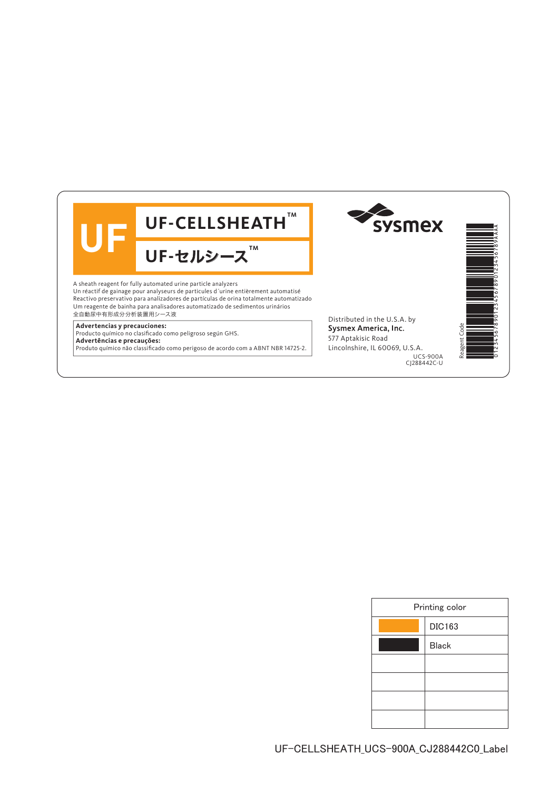

| Printing color |               |
|----------------|---------------|
|                | <b>DIC163</b> |
|                | <b>Black</b>  |
|                |               |
|                |               |
|                |               |
|                |               |
|                |               |

UF-CELLSHEATH\_UCS-900A\_CJ288442C0\_Label